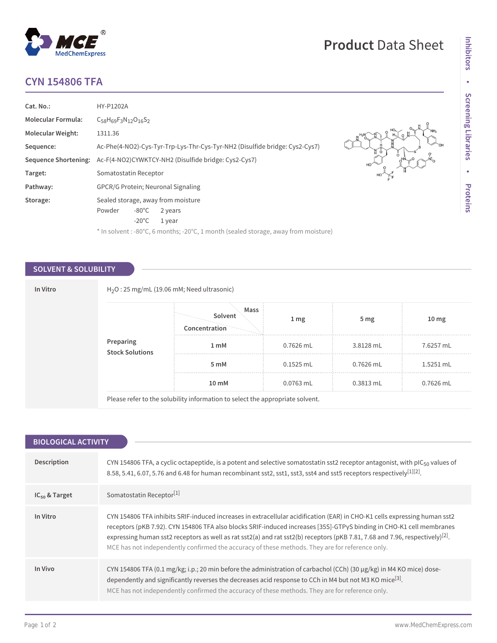## **CYN 154806 TFA**

MedChemExpress

 $^{\circledR}$ 

| Cat. No.:                | HY-P1202A                                                                                      |
|--------------------------|------------------------------------------------------------------------------------------------|
| Molecular Formula:       | $C_{58}H_{69}F_3N_{12}O_{16}S_2$                                                               |
| <b>Molecular Weight:</b> | 1311.36                                                                                        |
| Sequence:                | <b>OH</b><br>Ac-Phe(4-NO2)-Cys-Tyr-Trp-Lys-Thr-Cys-Tyr-NH2 (Disulfide bridge: Cys2-Cys7)<br>NΘ |
| Sequence Shortening:     | $\Omega$<br>Ac-F(4-NO2)CYWKTCY-NH2 (Disulfide bridge: Cys2-Cys7)<br>HO <sup>'</sup>            |
| Target:                  | Somatostatin Receptor                                                                          |
| Pathway:                 | <b>GPCR/G Protein: Neuronal Signaling</b>                                                      |
| Storage:                 | Sealed storage, away from moisture                                                             |
|                          | $-80^{\circ}$ C<br>Powder<br>2 years                                                           |
|                          | $-20^{\circ}$ C<br>1 year                                                                      |
|                          | * In solvent : -80°C, 6 months; -20°C, 1 month (sealed storage, away from moisture)            |

### **SOLVENT & SOLUBILITY**

|                                      | Mass<br>Solvent<br>Concentration | 1 <sub>mg</sub> | 5 <sub>mg</sub> | 10 <sub>mg</sub> |
|--------------------------------------|----------------------------------|-----------------|-----------------|------------------|
| <b>Preparing<br/>Stock Solutions</b> | 1 mM                             | $0.7626$ mL     | 3.8128 mL       | 7.6257 mL        |
|                                      | 5 mM                             | $0.1525$ mL     | $0.7626$ mL     | 1.5251 mL        |
|                                      | 10 mM                            | 0.0763 mL       | $0.3813$ mL     | 0.7626 mL        |

| <b>BIOLOGICAL ACTIVITY</b> |                                                                                                                                                                                                                                                                                                                                                                                                                                                                                                   |  |  |
|----------------------------|---------------------------------------------------------------------------------------------------------------------------------------------------------------------------------------------------------------------------------------------------------------------------------------------------------------------------------------------------------------------------------------------------------------------------------------------------------------------------------------------------|--|--|
|                            |                                                                                                                                                                                                                                                                                                                                                                                                                                                                                                   |  |  |
| Description                | CYN 154806 TFA, a cyclic octapeptide, is a potent and selective somatostatin sst2 receptor antagonist, with pIC <sub>50</sub> values of<br>8.58, 5.41, 6.07, 5.76 and 6.48 for human recombinant sst2, sst1, sst3, sst4 and sst5 receptors respectively [1][2].                                                                                                                                                                                                                                   |  |  |
| $IC_{50}$ & Target         | Somatostatin Receptor <sup>[1]</sup>                                                                                                                                                                                                                                                                                                                                                                                                                                                              |  |  |
| In Vitro                   | CYN 154806 TFA inhibits SRIF-induced increases in extracellular acidification (EAR) in CHO-K1 cells expressing human sst2<br>receptors (pKB 7.92). CYN 154806 TFA also blocks SRIF-induced increases [35S]-GTPyS binding in CHO-K1 cell membranes<br>expressing human sst2 receptors as well as rat sst2(a) and rat sst2(b) receptors (pKB 7.81, 7.68 and 7.96, respectively) <sup>[2]</sup> .<br>MCE has not independently confirmed the accuracy of these methods. They are for reference only. |  |  |
| In Vivo                    | CYN 154806 TFA (0.1 mg/kg; i.p.; 20 min before the administration of carbachol (CCh) (30 $\mu$ g/kg) in M4 KO mice) dose-<br>dependently and significantly reverses the decreases acid response to CCh in M4 but not M3 KO mice <sup>[3]</sup> .<br>MCE has not independently confirmed the accuracy of these methods. They are for reference only.                                                                                                                                               |  |  |

# **Product** Data Sheet